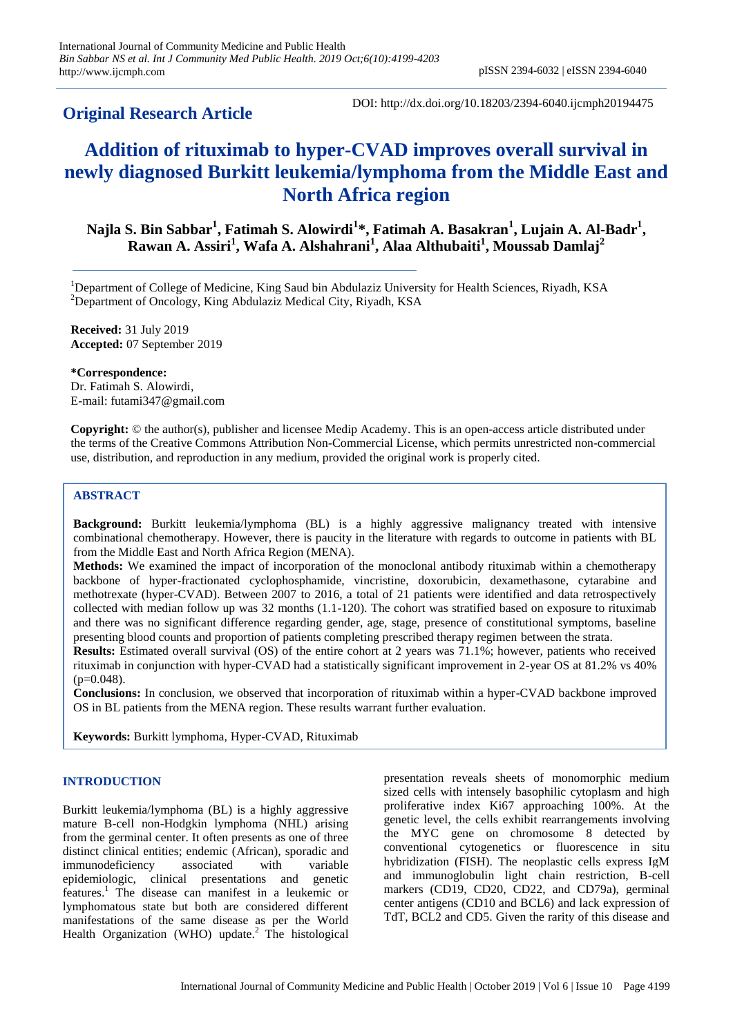# **Original Research Article**

DOI: http://dx.doi.org/10.18203/2394-6040.ijcmph20194475

# **Addition of rituximab to hyper-CVAD improves overall survival in newly diagnosed Burkitt leukemia/lymphoma from the Middle East and North Africa region**

**Najla S. Bin Sabbar<sup>1</sup> , Fatimah S. Alowirdi<sup>1</sup> \*, Fatimah A. Basakran<sup>1</sup> , Lujain A. Al-Badr<sup>1</sup> , Rawan A. Assiri<sup>1</sup> , Wafa A. Alshahrani<sup>1</sup> , Alaa Althubaiti<sup>1</sup> , Moussab Damlaj<sup>2</sup>**

<sup>1</sup>Department of College of Medicine, King Saud bin Abdulaziz University for Health Sciences, Riyadh, KSA <sup>2</sup>Department of Oncology, King Abdulaziz Medical City, Riyadh, KSA

**Received:** 31 July 2019 **Accepted:** 07 September 2019

**\*Correspondence:** Dr. Fatimah S. Alowirdi, E-mail: futami347@gmail.com

**Copyright:** © the author(s), publisher and licensee Medip Academy. This is an open-access article distributed under the terms of the Creative Commons Attribution Non-Commercial License, which permits unrestricted non-commercial use, distribution, and reproduction in any medium, provided the original work is properly cited.

# **ABSTRACT**

**Background:** Burkitt leukemia/lymphoma (BL) is a highly aggressive malignancy treated with intensive combinational chemotherapy. However, there is paucity in the literature with regards to outcome in patients with BL from the Middle East and North Africa Region (MENA).

**Methods:** We examined the impact of incorporation of the monoclonal antibody rituximab within a chemotherapy backbone of hyper-fractionated cyclophosphamide, vincristine, doxorubicin, dexamethasone, cytarabine and methotrexate (hyper-CVAD). Between 2007 to 2016, a total of 21 patients were identified and data retrospectively collected with median follow up was 32 months (1.1-120). The cohort was stratified based on exposure to rituximab and there was no significant difference regarding gender, age, stage, presence of constitutional symptoms, baseline presenting blood counts and proportion of patients completing prescribed therapy regimen between the strata.

**Results:** Estimated overall survival (OS) of the entire cohort at 2 years was 71.1%; however, patients who received rituximab in conjunction with hyper-CVAD had a statistically significant improvement in 2-year OS at 81.2% vs 40%  $(p=0.048)$ .

**Conclusions:** In conclusion, we observed that incorporation of rituximab within a hyper-CVAD backbone improved OS in BL patients from the MENA region. These results warrant further evaluation.

**Keywords:** Burkitt lymphoma, Hyper-CVAD, Rituximab

## **INTRODUCTION**

Burkitt leukemia/lymphoma (BL) is a highly aggressive mature B-cell non-Hodgkin lymphoma (NHL) arising from the germinal center. It often presents as one of three distinct clinical entities; endemic (African), sporadic and immunodeficiency associated with variable epidemiologic, clinical presentations and genetic features. <sup>1</sup> The disease can manifest in a leukemic or lymphomatous state but both are considered different manifestations of the same disease as per the World Health Organization (WHO) update.<sup>2</sup> The histological presentation reveals sheets of monomorphic medium sized cells with intensely basophilic cytoplasm and high proliferative index Ki67 approaching 100%. At the genetic level, the cells exhibit rearrangements involving the MYC gene on chromosome 8 detected by conventional cytogenetics or fluorescence in situ hybridization (FISH). The neoplastic cells express IgM and immunoglobulin light chain restriction, B-cell markers (CD19, CD20, CD22, and CD79a), germinal center antigens (CD10 and BCL6) and lack expression of TdT, BCL2 and CD5. Given the rarity of this disease and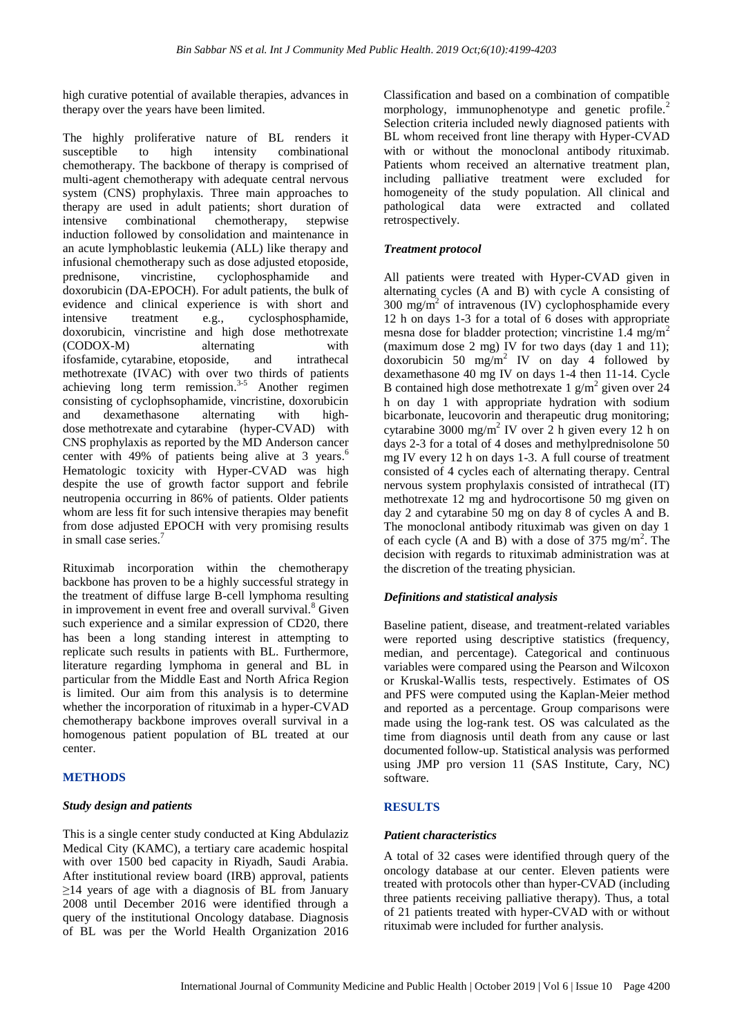high curative potential of available therapies, advances in therapy over the years have been limited.

The highly proliferative nature of BL renders it susceptible to high intensity combinational chemotherapy. The backbone of therapy is comprised of multi-agent chemotherapy with adequate central nervous system (CNS) prophylaxis. Three main approaches to therapy are used in adult patients; short duration of intensive combinational chemotherapy, stepwise induction followed by consolidation and maintenance in an acute lymphoblastic leukemia (ALL) like therapy and infusional chemotherapy such as dose adjusted etoposide, prednisone, vincristine, cyclophosphamide and doxorubicin (DA-EPOCH). For adult patients, the bulk of evidence and clinical experience is with short and intensive treatment e.g., cyclosphosphamide, doxorubicin, vincristine and high dose methotrexate (CODOX-M) alternating with [ifosfamide,](https://www.uptodate.com/contents/ifosfamide-drug-information?search=burkitt&topicRef=4734&source=see_link) [cytarabine,](https://www.uptodate.com/contents/cytarabine-drug-information?search=burkitt&topicRef=4734&source=see_link) [etoposide,](https://www.uptodate.com/contents/etoposide-drug-information?search=burkitt&topicRef=4734&source=see_link) and intrathecal methotrexate (IVAC) with over two thirds of patients achieving long term remission.<sup>3-5</sup> Another regimen consisting of cyclophsophamide, vincristine, doxorubicin and dexamethasone alternating with highdose [methotrexate](https://www.uptodate.com/contents/methotrexate-drug-information?search=burkitt&topicRef=4734&source=see_link) and [cytarabine](https://www.uptodate.com/contents/cytarabine-drug-information?search=burkitt&topicRef=4734&source=see_link) (hyper-CVAD) with CNS prophylaxis as reported by the MD Anderson cancer center with 49% of patients being alive at 3 years. 6 Hematologic toxicity with Hyper-CVAD was high despite the use of growth factor support and febrile neutropenia occurring in 86% of patients. Older patients whom are less fit for such intensive therapies may benefit from dose adjusted EPOCH with very promising results in small case series.<sup>7</sup>

Rituximab incorporation within the chemotherapy backbone has proven to be a highly successful strategy in the treatment of diffuse large B-cell lymphoma resulting in improvement in event free and overall survival.<sup>8</sup> Given such experience and a similar expression of CD20, there has been a long standing interest in attempting to replicate such results in patients with BL. Furthermore, literature regarding lymphoma in general and BL in particular from the Middle East and North Africa Region is limited. Our aim from this analysis is to determine whether the incorporation of rituximab in a hyper-CVAD chemotherapy backbone improves overall survival in a homogenous patient population of BL treated at our center.

## **METHODS**

#### *Study design and patients*

This is a single center study conducted at King Abdulaziz Medical City (KAMC), a tertiary care academic hospital with over 1500 bed capacity in Riyadh, Saudi Arabia. After institutional review board (IRB) approval, patients  $\geq$ 14 years of age with a diagnosis of BL from January 2008 until December 2016 were identified through a query of the institutional Oncology database. Diagnosis of BL was per the World Health Organization 2016

Classification and based on a combination of compatible morphology, immunophenotype and genetic profile.<sup>2</sup> Selection criteria included newly diagnosed patients with BL whom received front line therapy with Hyper-CVAD with or without the monoclonal antibody rituximab. Patients whom received an alternative treatment plan, including palliative treatment were excluded for homogeneity of the study population. All clinical and pathological data were extracted and collated retrospectively.

#### *Treatment protocol*

All patients were treated with Hyper-CVAD given in alternating cycles (A and B) with cycle A consisting of  $300 \text{ mg/m}^2$  of intravenous (IV) cyclophosphamide every 12 h on days 1-3 for a total of 6 doses with appropriate mesna dose for bladder protection; vincristine 1.4 mg/m<sup>2</sup> (maximum dose 2 mg) IV for two days (day 1 and 11); doxorubicin 50 mg/m<sup>2</sup> IV on day 4 followed by dexamethasone 40 mg IV on days 1-4 then 11-14. Cycle B contained high dose methotrexate  $1$  g/m<sup>2</sup> given over 24 h on day 1 with appropriate hydration with sodium bicarbonate, leucovorin and therapeutic drug monitoring; cytarabine 3000 mg/m<sup>2</sup> IV over  $2$  h given every 12 h on days 2-3 for a total of 4 doses and methylprednisolone 50 mg IV every 12 h on days 1-3. A full course of treatment consisted of 4 cycles each of alternating therapy. Central nervous system prophylaxis consisted of intrathecal (IT) methotrexate 12 mg and hydrocortisone 50 mg given on day 2 and cytarabine 50 mg on day 8 of cycles A and B. The monoclonal antibody rituximab was given on day 1 of each cycle  $(A \text{ and } B)$  with a dose of  $375 \text{ mg/m}^2$ . The decision with regards to rituximab administration was at the discretion of the treating physician.

#### *Definitions and statistical analysis*

Baseline patient, disease, and treatment-related variables were reported using descriptive statistics (frequency, median, and percentage). Categorical and continuous variables were compared using the Pearson and Wilcoxon or Kruskal-Wallis tests, respectively. Estimates of OS and PFS were computed using the Kaplan-Meier method and reported as a percentage. Group comparisons were made using the log-rank test. OS was calculated as the time from diagnosis until death from any cause or last documented follow-up. Statistical analysis was performed using JMP pro version 11 (SAS Institute, Cary, NC) software.

#### **RESULTS**

#### *Patient characteristics*

A total of 32 cases were identified through query of the oncology database at our center. Eleven patients were treated with protocols other than hyper-CVAD (including three patients receiving palliative therapy). Thus, a total of 21 patients treated with hyper-CVAD with or without rituximab were included for further analysis.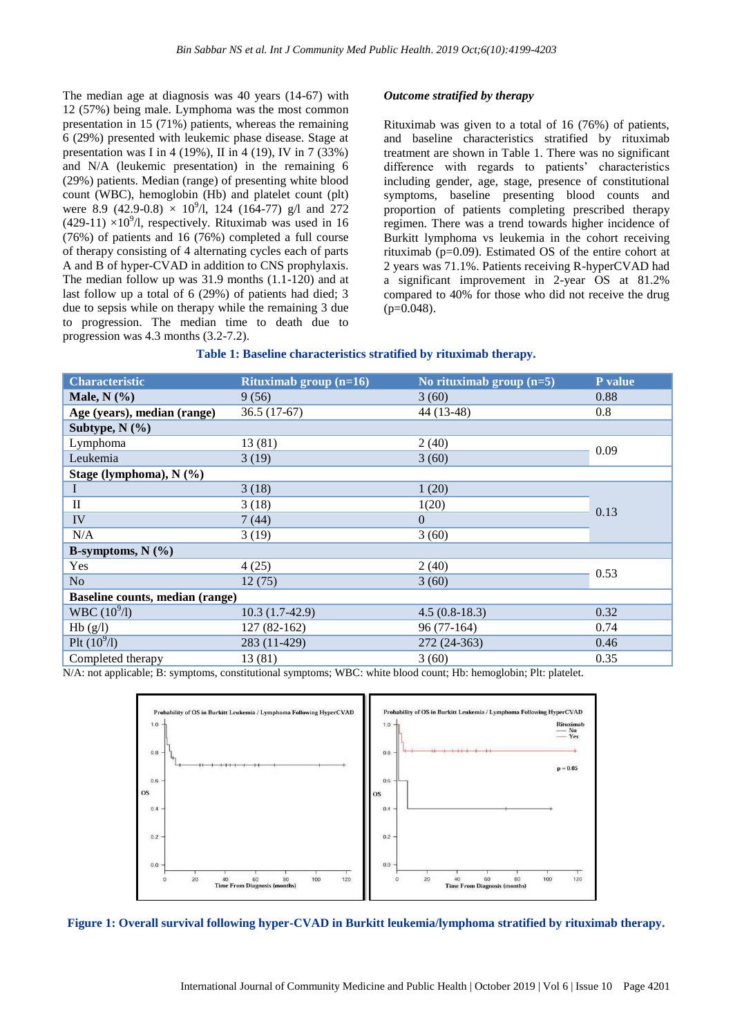The median age at diagnosis was 40 years (14-67) with 12 (57%) being male. Lymphoma was the most common presentation in 15 (71%) patients, whereas the remaining 6 (29%) presented with leukemic phase disease. Stage at presentation was I in 4 (19%), II in 4 (19), IV in 7 (33%) and N/A (leukemic presentation) in the remaining 6 (29%) patients. Median (range) of presenting white blood count (WBC), hemoglobin (Hb) and platelet count (plt) were 8.9 (42.9-0.8)  $\times$  10<sup>9</sup>/l, 124 (164-77) g/l and 272  $(429-11) \times 10^{9}$ /l, respectively. Rituximab was used in 16 (76%) of patients and 16 (76%) completed a full course of therapy consisting of 4 alternating cycles each of parts A and B of hyper-CVAD in addition to CNS prophylaxis. The median follow up was 31.9 months (1.1-120) and at last follow up a total of 6 (29%) of patients had died; 3 due to sepsis while on therapy while the remaining 3 due to progression. The median time to death due to progression was 4.3 months (3.2-7.2).

#### *Outcome stratified by therapy*

Rituximab was given to a total of 16 (76%) of patients, and baseline characteristics stratified by rituximab treatment are shown in Table 1. There was no significant difference with regards to patients' characteristics including gender, age, stage, presence of constitutional symptoms, baseline presenting blood counts and proportion of patients completing prescribed therapy regimen. There was a trend towards higher incidence of Burkitt lymphoma vs leukemia in the cohort receiving rituximab (p=0.09). Estimated OS of the entire cohort at 2 years was 71.1%. Patients receiving R-hyperCVAD had a significant improvement in 2-year OS at 81.2% compared to 40% for those who did not receive the drug  $(p=0.048)$ .

| <b>Characteristic</b>           | Rituximab group $(n=16)$ | No rituximab group $(n=5)$ | P value |
|---------------------------------|--------------------------|----------------------------|---------|
| Male, $N$ $(\% )$               | 9(56)                    | 3(60)                      | 0.88    |
| Age (years), median (range)     | $36.5(17-67)$            | 44 (13-48)                 | 0.8     |
| Subtype, $N$ $(\frac{6}{6})$    |                          |                            |         |
| Lymphoma                        | 13 (81)                  | 2(40)                      | 0.09    |
| Leukemia                        | 3(19)                    | 3(60)                      |         |
| Stage (lymphoma), N (%)         |                          |                            |         |
| 1                               | 3(18)                    | 1(20)                      | 0.13    |
| $\mathbf{I}$                    | 3(18)                    | 1(20)                      |         |
| IV                              | 7(44)                    | $\Omega$                   |         |
| N/A                             | 3(19)                    | 3(60)                      |         |
| B-symptoms, $N$ $(\% )$         |                          |                            |         |
| Yes                             | 4(25)                    | 2(40)                      | 0.53    |
| No                              | 12(75)                   | 3(60)                      |         |
| Baseline counts, median (range) |                          |                            |         |
| WBC (10 <sup>9</sup> /I)        | $10.3(1.7-42.9)$         | $4.5(0.8-18.3)$            | 0.32    |
| Hb(g/l)                         | $127(82-162)$            | 96 (77-164)                | 0.74    |
| Plt $(10^{9}/I)$                | 283 (11-429)             | 272 (24-363)               | 0.46    |
| Completed therapy               | 13 (81)                  | 3(60)                      | 0.35    |

N/A: not applicable; B: symptoms, constitutional symptoms; WBC: white blood count; Hb: hemoglobin; Plt: platelet.



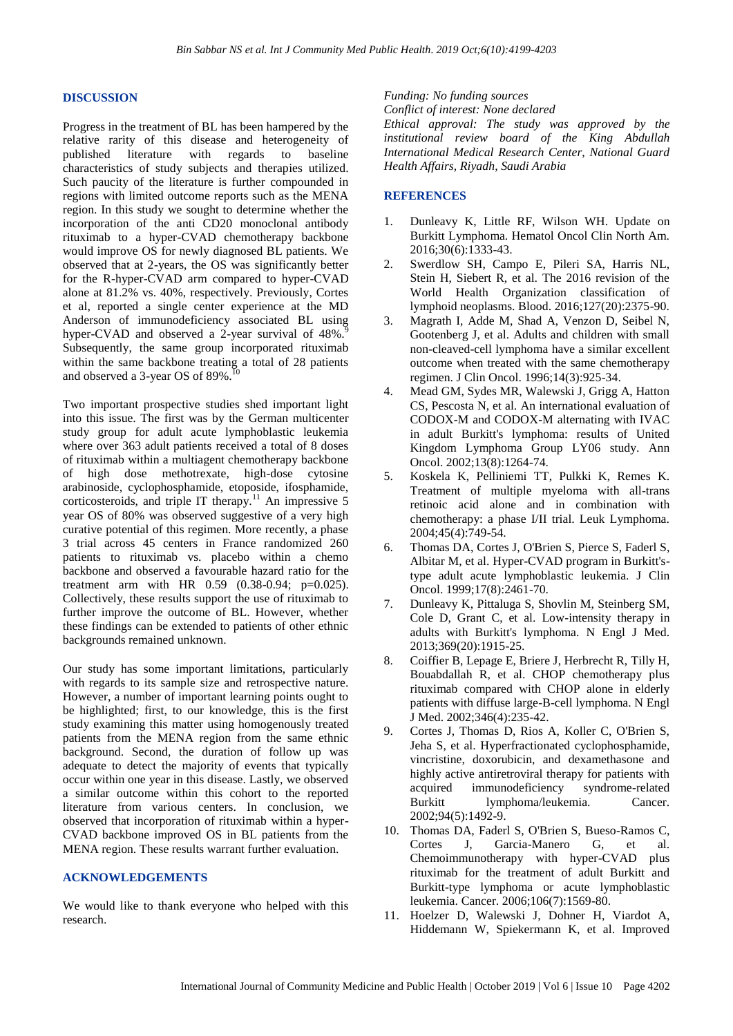#### **DISCUSSION**

Progress in the treatment of BL has been hampered by the relative rarity of this disease and heterogeneity of published literature with regards to baseline characteristics of study subjects and therapies utilized. Such paucity of the literature is further compounded in regions with limited outcome reports such as the MENA region. In this study we sought to determine whether the incorporation of the anti CD20 monoclonal antibody rituximab to a hyper-CVAD chemotherapy backbone would improve OS for newly diagnosed BL patients. We observed that at 2-years, the OS was significantly better for the R-hyper-CVAD arm compared to hyper-CVAD alone at 81.2% vs. 40%, respectively. Previously, Cortes et al, reported a single center experience at the MD Anderson of immunodeficiency associated BL using hyper-CVAD and observed a 2-year survival of  $48\%$ . Subsequently, the same group incorporated rituximab within the same backbone treating a total of 28 patients and observed a 3-year OS of 89%.

Two important prospective studies shed important light into this issue. The first was by the German multicenter study group for adult acute lymphoblastic leukemia where over 363 adult patients received a total of 8 doses of rituximab within a multiagent chemotherapy backbone of high dose methotrexate, high-dose cytosine arabinoside, cyclophosphamide, etoposide, ifosphamide, corticosteroids, and triple IT therapy.<sup>11</sup> An impressive  $5$ year OS of 80% was observed suggestive of a very high curative potential of this regimen. More recently, a phase 3 trial across 45 centers in France randomized 260 patients to rituximab vs. placebo within a chemo backbone and observed a favourable hazard ratio for the treatment arm with HR 0.59 (0.38-0.94; p=0.025). Collectively, these results support the use of rituximab to further improve the outcome of BL. However, whether these findings can be extended to patients of other ethnic backgrounds remained unknown.

Our study has some important limitations, particularly with regards to its sample size and retrospective nature. However, a number of important learning points ought to be highlighted; first, to our knowledge, this is the first study examining this matter using homogenously treated patients from the MENA region from the same ethnic background. Second, the duration of follow up was adequate to detect the majority of events that typically occur within one year in this disease. Lastly, we observed a similar outcome within this cohort to the reported literature from various centers. In conclusion, we observed that incorporation of rituximab within a hyper-CVAD backbone improved OS in BL patients from the MENA region. These results warrant further evaluation.

#### **ACKNOWLEDGEMENTS**

We would like to thank everyone who helped with this research.

#### *Funding: No funding sources*

*Conflict of interest: None declared*

*Ethical approval: The study was approved by the institutional review board of the King Abdullah International Medical Research Center, National Guard Health Affairs, Riyadh, Saudi Arabia*

#### **REFERENCES**

- 1. Dunleavy K, Little RF, Wilson WH. Update on Burkitt Lymphoma. Hematol Oncol Clin North Am. 2016;30(6):1333-43.
- 2. Swerdlow SH, Campo E, Pileri SA, Harris NL, Stein H, Siebert R, et al. The 2016 revision of the World Health Organization classification of lymphoid neoplasms. Blood. 2016;127(20):2375-90.
- 3. Magrath I, Adde M, Shad A, Venzon D, Seibel N, Gootenberg J, et al. Adults and children with small non-cleaved-cell lymphoma have a similar excellent outcome when treated with the same chemotherapy regimen. J Clin Oncol. 1996;14(3):925-34.
- 4. Mead GM, Sydes MR, Walewski J, Grigg A, Hatton CS, Pescosta N, et al. An international evaluation of CODOX-M and CODOX-M alternating with IVAC in adult Burkitt's lymphoma: results of United Kingdom Lymphoma Group LY06 study. Ann Oncol. 2002;13(8):1264-74.
- 5. Koskela K, Pelliniemi TT, Pulkki K, Remes K. Treatment of multiple myeloma with all-trans retinoic acid alone and in combination with chemotherapy: a phase I/II trial. Leuk Lymphoma. 2004;45(4):749-54.
- 6. Thomas DA, Cortes J, O'Brien S, Pierce S, Faderl S, Albitar M, et al. Hyper-CVAD program in Burkitt'stype adult acute lymphoblastic leukemia. J Clin Oncol. 1999;17(8):2461-70.
- 7. Dunleavy K, Pittaluga S, Shovlin M, Steinberg SM, Cole D, Grant C, et al. Low-intensity therapy in adults with Burkitt's lymphoma. N Engl J Med. 2013;369(20):1915-25.
- 8. Coiffier B, Lepage E, Briere J, Herbrecht R, Tilly H, Bouabdallah R, et al. CHOP chemotherapy plus rituximab compared with CHOP alone in elderly patients with diffuse large-B-cell lymphoma. N Engl J Med. 2002;346(4):235-42.
- 9. Cortes J, Thomas D, Rios A, Koller C, O'Brien S, Jeha S, et al. Hyperfractionated cyclophosphamide, vincristine, doxorubicin, and dexamethasone and highly active antiretroviral therapy for patients with acquired immunodeficiency syndrome-related Burkitt lymphoma/leukemia. Cancer. 2002;94(5):1492-9.
- 10. Thomas DA, Faderl S, O'Brien S, Bueso-Ramos C, Cortes J, Garcia-Manero G, et al. Chemoimmunotherapy with hyper-CVAD plus rituximab for the treatment of adult Burkitt and Burkitt-type lymphoma or acute lymphoblastic leukemia. Cancer. 2006;106(7):1569-80.
- 11. Hoelzer D, Walewski J, Dohner H, Viardot A, Hiddemann W, Spiekermann K, et al. Improved